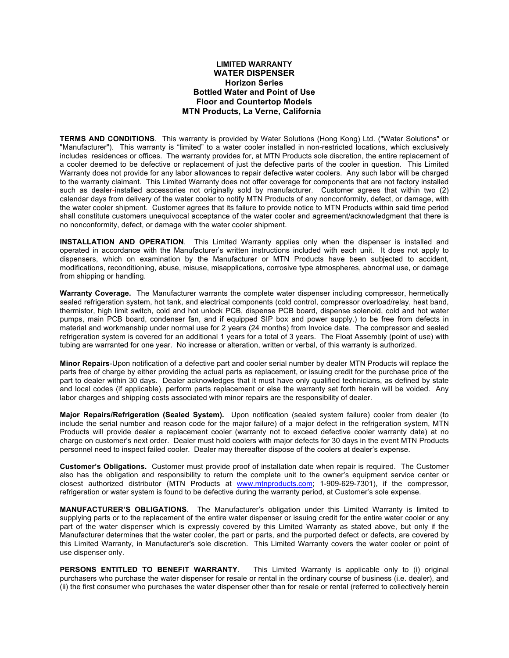## **LIMITED WARRANTY WATER DISPENSER Horizon Series Bottled Water and Point of Use Floor and Countertop Models MTN Products, La Verne, California**

**TERMS AND CONDITIONS**. This warranty is provided by Water Solutions (Hong Kong) Ltd. ("Water Solutions" or "Manufacturer"). This warranty is "limited" to a water cooler installed in non-restricted locations, which exclusively includes residences or offices. The warranty provides for, at MTN Products sole discretion, the entire replacement of a cooler deemed to be defective or replacement of just the defective parts of the cooler in question. This Limited Warranty does not provide for any labor allowances to repair defective water coolers. Any such labor will be charged to the warranty claimant. This Limited Warranty does not offer coverage for components that are not factory installed such as dealer-installed accessories not originally sold by manufacturer. Customer agrees that within two (2) calendar days from delivery of the water cooler to notify MTN Products of any nonconformity, defect, or damage, with the water cooler shipment. Customer agrees that its failure to provide notice to MTN Products within said time period shall constitute customers unequivocal acceptance of the water cooler and agreement/acknowledgment that there is no nonconformity, defect, or damage with the water cooler shipment.

**INSTALLATION AND OPERATION**. This Limited Warranty applies only when the dispenser is installed and operated in accordance with the Manufacturer's written instructions included with each unit. It does not apply to dispensers, which on examination by the Manufacturer or MTN Products have been subjected to accident, modifications, reconditioning, abuse, misuse, misapplications, corrosive type atmospheres, abnormal use, or damage from shipping or handling.

**Warranty Coverage.** The Manufacturer warrants the complete water dispenser including compressor, hermetically sealed refrigeration system, hot tank, and electrical components (cold control, compressor overload/relay, heat band, thermistor, high limit switch, cold and hot unlock PCB, dispense PCB board, dispense solenoid, cold and hot water pumps, main PCB board, condenser fan, and if equipped SIP box and power supply.) to be free from defects in material and workmanship under normal use for 2 years (24 months) from Invoice date. The compressor and sealed refrigeration system is covered for an additional 1 years for a total of 3 years. The Float Assembly (point of use) with tubing are warranted for one year. No increase or alteration, written or verbal, of this warranty is authorized.

**Minor Repairs**-Upon notification of a defective part and cooler serial number by dealer MTN Products will replace the parts free of charge by either providing the actual parts as replacement, or issuing credit for the purchase price of the part to dealer within 30 days. Dealer acknowledges that it must have only qualified technicians, as defined by state and local codes (if applicable), perform parts replacement or else the warranty set forth herein will be voided. Any labor charges and shipping costs associated with minor repairs are the responsibility of dealer.

**Major Repairs/Refrigeration (Sealed System).** Upon notification (sealed system failure) cooler from dealer (to include the serial number and reason code for the major failure) of a major defect in the refrigeration system, MTN Products will provide dealer a replacement cooler (warranty not to exceed defective cooler warranty date) at no charge on customer's next order. Dealer must hold coolers with major defects for 30 days in the event MTN Products personnel need to inspect failed cooler. Dealer may thereafter dispose of the coolers at dealer's expense.

**Customer's Obligations.** Customer must provide proof of installation date when repair is required. The Customer also has the obligation and responsibility to return the complete unit to the owner's equipment service center or closest authorized distributor (MTN Products at www.mtnproducts.com; 1-909-629-7301), if the compressor, refrigeration or water system is found to be defective during the warranty period, at Customer's sole expense.

**MANUFACTURER'S OBLIGATIONS**. The Manufacturer's obligation under this Limited Warranty is limited to supplying parts or to the replacement of the entire water dispenser or issuing credit for the entire water cooler or any part of the water dispenser which is expressly covered by this Limited Warranty as stated above, but only if the Manufacturer determines that the water cooler, the part or parts, and the purported defect or defects, are covered by this Limited Warranty, in Manufacturer's sole discretion. This Limited Warranty covers the water cooler or point of use dispenser only.

**PERSONS ENTITLED TO BENEFIT WARRANTY**. This Limited Warranty is applicable only to (i) original purchasers who purchase the water dispenser for resale or rental in the ordinary course of business (i.e. dealer), and (ii) the first consumer who purchases the water dispenser other than for resale or rental (referred to collectively herein